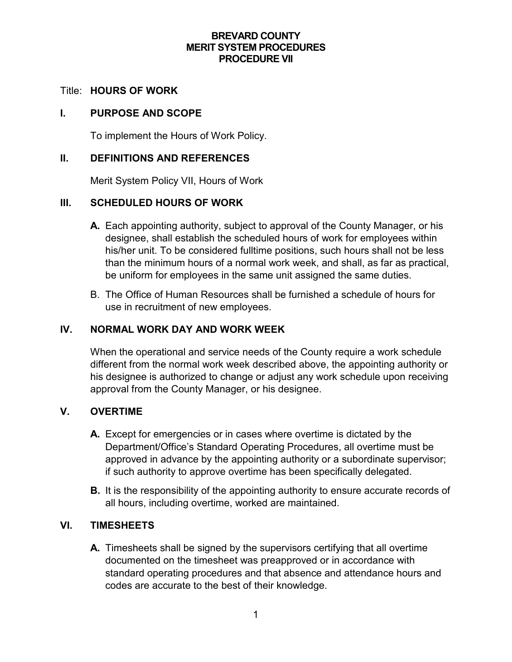# **BREVARD COUNTY MERIT SYSTEM PROCEDURES PROCEDURE VII**

#### Title: **HOURS OF WORK**

#### **I. PURPOSE AND SCOPE**

To implement the Hours of Work Policy.

## **II. DEFINITIONS AND REFERENCES**

Merit System Policy VII, Hours of Work

# **III. SCHEDULED HOURS OF WORK**

- **A.** Each appointing authority, subject to approval of the County Manager, or his designee, shall establish the scheduled hours of work for employees within his/her unit. To be considered fulltime positions, such hours shall not be less than the minimum hours of a normal work week, and shall, as far as practical, be uniform for employees in the same unit assigned the same duties.
- B. The Office of Human Resources shall be furnished a schedule of hours for use in recruitment of new employees.

# **IV. NORMAL WORK DAY AND WORK WEEK**

When the operational and service needs of the County require a work schedule different from the normal work week described above, the appointing authority or his designee is authorized to change or adjust any work schedule upon receiving approval from the County Manager, or his designee.

# **V. OVERTIME**

- **A.** Except for emergencies or in cases where overtime is dictated by the Department/Office's Standard Operating Procedures, all overtime must be approved in advance by the appointing authority or a subordinate supervisor; if such authority to approve overtime has been specifically delegated.
- **B.** It is the responsibility of the appointing authority to ensure accurate records of all hours, including overtime, worked are maintained.

# **VI. TIMESHEETS**

**A.** Timesheets shall be signed by the supervisors certifying that all overtime documented on the timesheet was preapproved or in accordance with standard operating procedures and that absence and attendance hours and codes are accurate to the best of their knowledge.